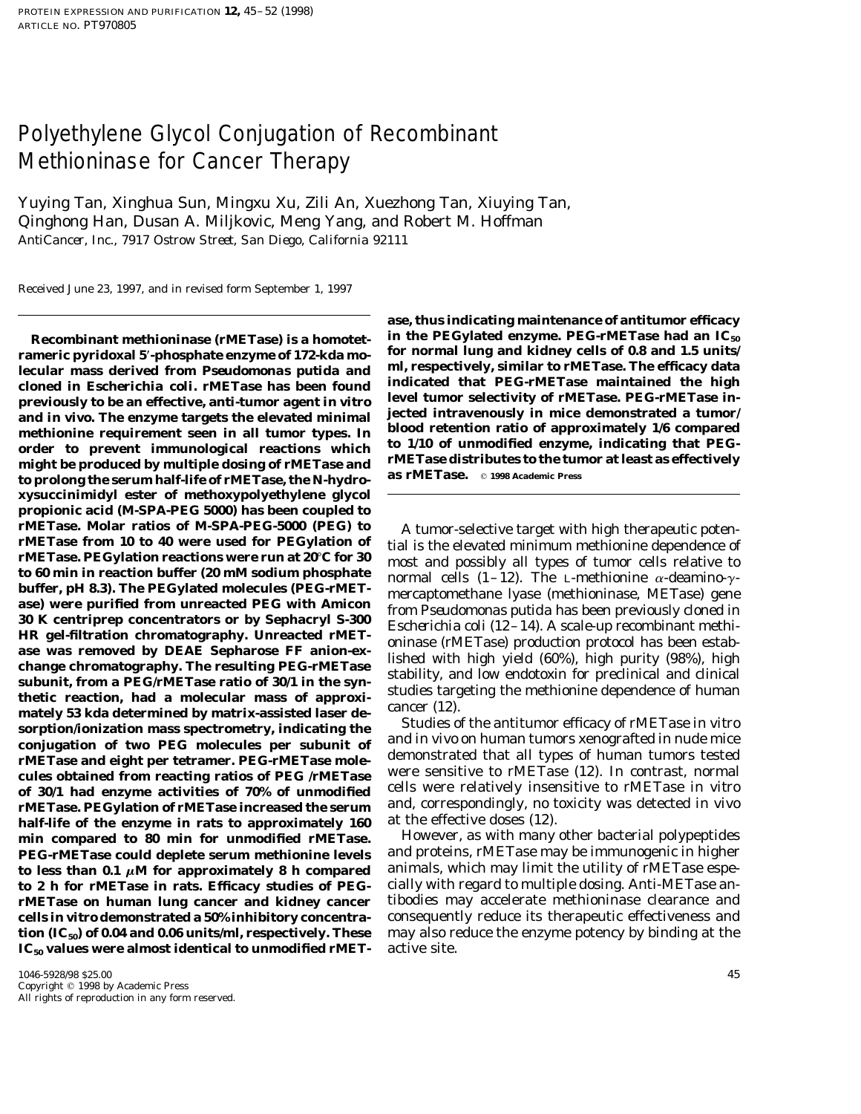## Polyethylene Glycol Conjugation of Recombinant Methioninase for Cancer Therapy

Yuying Tan, Xinghua Sun, Mingxu Xu, Zili An, Xuezhong Tan, Xiuying Tan, Qinghong Han, Dusan A. Miljkovic, Meng Yang, and Robert M. Hoffman *AntiCancer, Inc., 7917 Ostrow Street, San Diego, California 92111*

Received June 23, 1997, and in revised form September 1, 1997

rameric pyridoxal 5'-phosphate enzyme of 172-kda mo-close for normal lung and kidney cells of 0.8 and 1.5 units<br>lecular mass-derived from *Pseudomonas-putida* and clump indicated that PEG-rMETase. The efficacy data<br>cloned cloned in *Escherichia coli.* **rMETase has been found** indicated that PEG-rMETase maintained the high<br>previously to be an effective anti-tumor agent in vitre level tumor selectivity of rMETase. PEG-rMETase in**previously to be an effective, anti-tumor agent in vitro jected intravenously in mice demonstrated a tumor/ and** *in vivo.* **The enzyme targets the elevated minimal methionine requirement seen in all tumor types. In blood retention ratio of approximately 1/6 compared** order to prevent immunological reactions which <sup>to 1/10</sup> of unmodined enzyme, indicating that PEG-<br>might he produced by multiple dosing of rMETase and rMETase distributes to the tumor at least as effectively might be produced by multiple dosing of rMETase and<br> **rmETase.** © 1998 Academic Press to prolong the serum half-life of rMETase, the *N*-hydro**xysuccinimidyl ester of methoxypolyethylene glycol propionic acid (M-SPA-PEG 5000) has been coupled to** rMETase. Molar ratios of M-SPA-PEG-3000 (PEG) to A tumor-selective target with high therapeutic poten-<br>rMETase from 10 to 40 were used for PEGylation of tial is the elevated minimum methionine dependence of<br>emant and poss **half-life of the enzyme in rats to approximately 160** at the effective doses (12). **min compared to 80 min for unmodified rMETase.** However, as with many other bacterial polypeptides PEG-rMETase could deplete serum methionine levels **to less than 0.1**  $\mu$ **M for approximately 8 h compared** animals, which may limit the utility of rMETase espe**to 2 h for rMETase in rats. Efficacy studies of PEG-** cially with regard to multiple dosing. Anti-METase an**rMETase on human lung cancer and kidney cancer** tibodies may accelerate methioninase clearance and **cells** *in vitro* **demonstrated a 50% inhibitory concentra-** consequently reduce its therapeutic effectiveness and **tion (IC<sub>50</sub>) of 0.04 and 0.06 units/ml, respectively. These** may also reduce the enzyme potency by binding at the<br>IC<sub>50</sub> values were almost identical to unmodified rMET-active site. **IC<sub>50</sub>** values were almost identical to unmodified rMET-

**ase, thus indicating maintenance of antitumor efficacy** Recombinant methioninase (rMETase) is a homotet-<br>in the PEG-lated enzyme of 179, kda motion of normal lung and kidney cells of 0.8 and 1.5 units/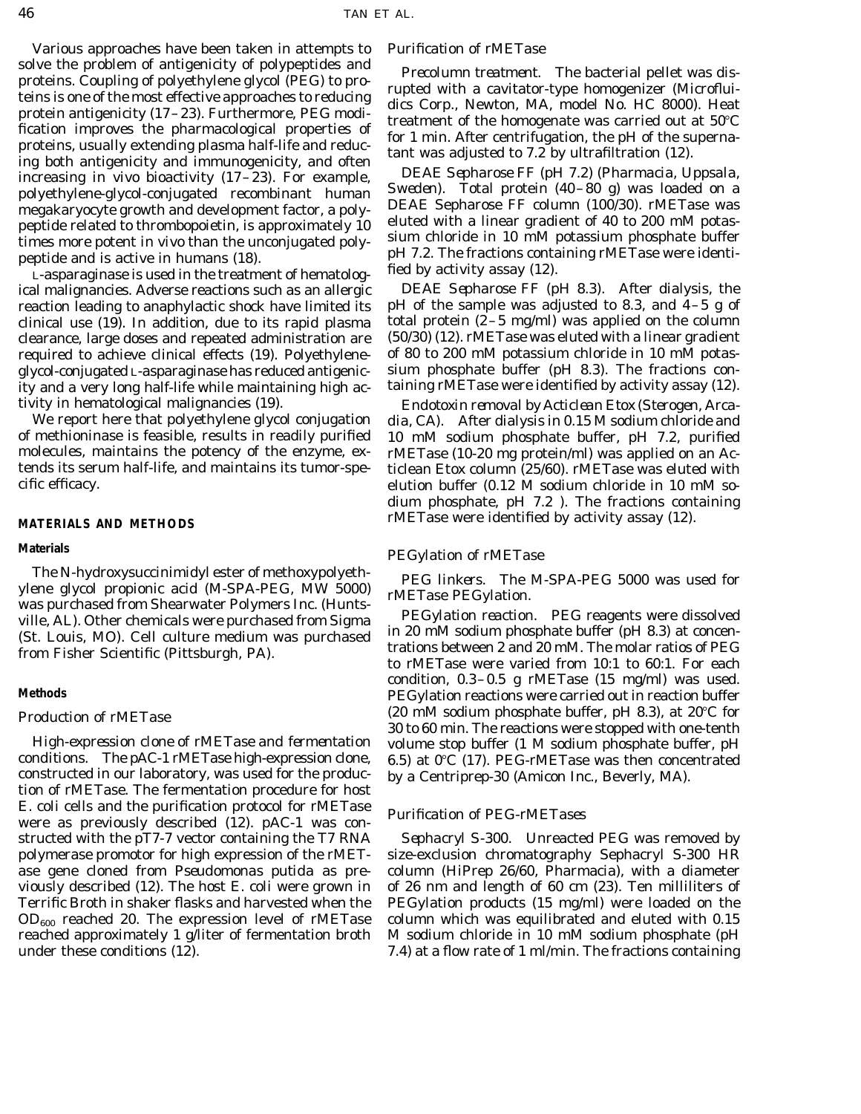Various approaches have been taken in attempts to *Purification of rMETase* solve the problem of antigenicity of polypeptides and<br>proteins. Coupling of polyethylene glycol (PEG) to pro-<br>teins is one of the most effective approaches to reducing<br>protein antigenicity (17–23). Furthermore, PEG modi-<br>

reaction leading to anaphylactic shock have limited its ity and a very long half-life while maintaining high ac- taining rMETase were identified by activity assay (12).

The *N*-hydroxysuccinimidyl ester of methoxypolyeth-<br>
ylene glycol propionic acid (M-SPA-PEG, MW 5000)<br>
was purchased from Shearwater Polymers Inc. (Hunts-<br>
ville, AL). Other chemicals were purchased from Sigma<br>
(St. Louis

*High-expression clone of rMETase and fermentation* volume stop buffer (1 M sodium phosphate buffer, pH conditions. The pAC-1 rMETase high-expression clone, 6.5) at  $0^{\circ}C$  (17). PEG-rMETase was then concentrated constructed in our laboratory, was used for the produc- by a Centriprep-30 (Amicon Inc., Beverly, MA). tion of rMETase. The fermentation procedure for host *E. coli* cells and the purification protocol for rMETase *Purification of PEG-rMETases* were as previously described (12). pAC-1 was constructed with the pT7-7 vector containing the T7 RNA *Sephacryl S-300.* Unreacted PEG was removed by polymerase promotor for high expression of the rMET- size-exclusion chromatography Sephacryl S-300 HR ase gene cloned from *Pseudomonas putida* as pre- column (HiPrep 26/60, Pharmacia), with a diameter viously described (12). The host *E. coli* were grown in of 26 nm and length of 60 cm (23). Ten milliliters of Terrific Broth in shaker flasks and harvested when the PEGylation products (15 mg/ml) were loaded on the  $OD_{600}$  reached 20. The expression level of rMETase column which was equilibrated and eluted with 0.15 reached approximately 1 g/liter of fermentation broth M sodium chloride in 10 mM sodium phosphate (pH under these conditions (12). The set of 1 m/min. The fractions containing under these conditions (12).

polyethylene-glycol-conjugated recombinant human Sweden). Total protein (40–80 g) was loaded on a<br>megakaryocyte growth and development factor, a poly-<br>portide related to thrombonoistin is approximately 10 eluted with a lin peptide related to thrombopoietin, is approximately 10<br>times more potent *in vivo* than the unconjugated poly-<br>peptide and is active in humans (18).<br>L-asparaginase is used in the treatment of hematolog-<br>peptide and is acti

ical malignancies. Adverse reactions such as an allergic *DEAE Sepharose FF (pH 8.3)*. After dialysis, the reaction leading to anaphylactic shock have limited its pH of the sample was adjusted to 8.3, and 4–5 g of clinical use (19). In addition, due to its rapid plasma total protein  $(2-5 \text{ mg/ml})$  was applied on the column clearance, large doses and repeated administration are (50/30) (12). rMETase was eluted with a linear gradient required to achieve clinical effects (19). Polyethylene- of 80 to 200 mM potassium chloride in 10 mM potasglycol-conjugated L-asparaginase has reduced antigenic- sium phosphate buffer (pH 8.3). The fractions con-

tivity in hematological malignancies (19). *Endotoxin removal by Acticlean Etox (Sterogen, Arca-*We report here that polyethylene glycol conjugation *dia, CA).* After dialysis in 0.15 M sodium chloride and of methioninase is feasible, results in readily purified 10 mM sodium phosphate buffer, pH 7.2, purified molecules, maintains the potency of the enzyme, ex-<br>tends its serum half-life, and maintains its tumor-spe-<br>ticlean Etox column (25/60), rMETase was eluted with ticlean Etox column (25/60). rMETase was eluted with cific efficacy. elution buffer (0.12 M sodium chloride in 10 mM sodium phosphate, pH 7.2 ). The fractions containing rMETase were identified by activity assay (12). **MATERIALS AND METHODS**

## **Materials** *PEGylation of rMETase*

condition, 0.3–0.5 g rMETase (15 mg/ml) was used. **Methods** PEGylation reactions were carried out in reaction buffer *Production of rMETase*  $\begin{array}{c} (20 \text{ mM sodium phosphate buffer, pH 8.3)}, \text{ at } 20^{\circ}\text{C for} \\ 30 \text{ to } 60 \text{ min.} \text{ The reactions were stopped with one-tenth} \end{array}$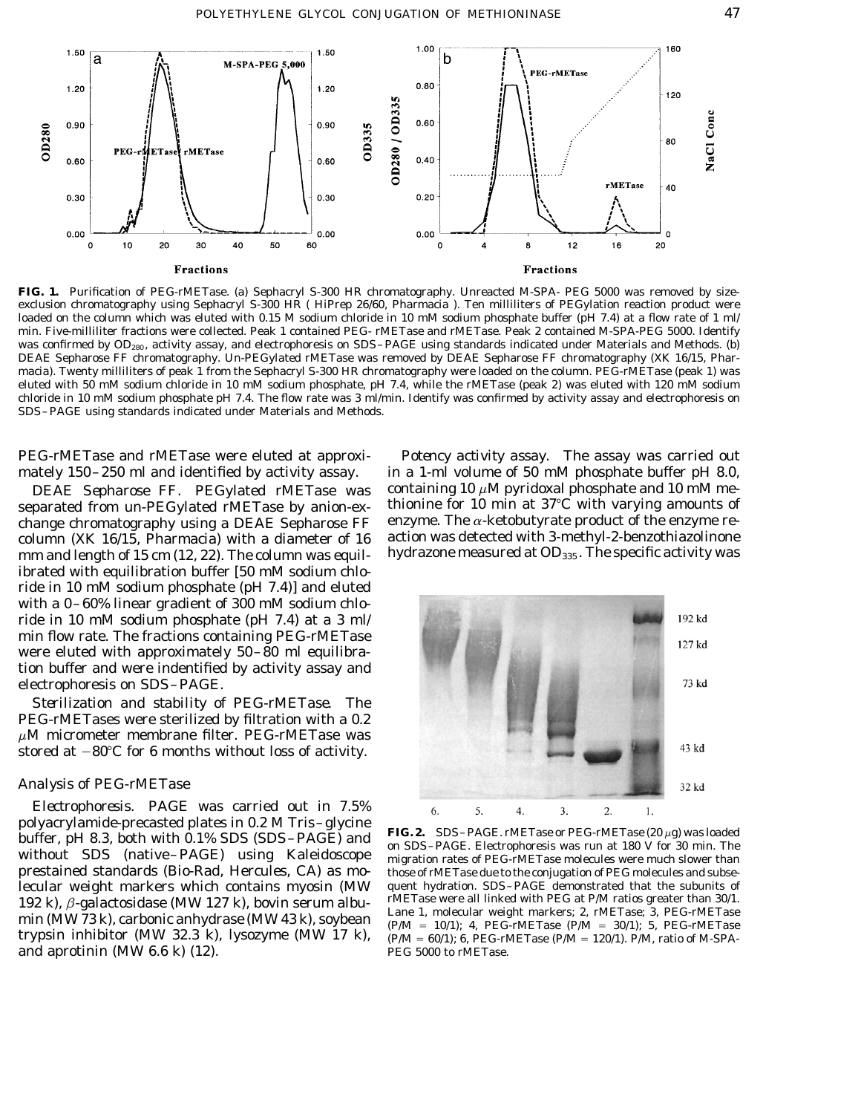

**FIG. 1.** Purification of PEG-rMETase. (a) Sephacryl S-300 HR chromatography. Unreacted M-SPA- PEG 5000 was removed by sizeexclusion chromatography using Sephacryl S-300 HR ( HiPrep 26/60, Pharmacia ). Ten milliliters of PEGylation reaction product were loaded on the column which was eluted with 0.15 M sodium chloride in 10 mM sodium phosphate buffer (pH 7.4) at a flow rate of 1 ml/ min. Five-milliliter fractions were collected. Peak 1 contained PEG- rMETase and rMETase. Peak 2 contained M-SPA-PEG 5000. Identify was confirmed by OD<sub>280</sub>, activity assay, and electrophoresis on SDS-PAGE using standards indicated under Materials and Methods. (b) DEAE Sepharose FF chromatography. Un-PEGylated rMETase was removed by DEAE Sepharose FF chromatography (XK 16/15, Pharmacia). Twenty milliliters of peak 1 from the Sephacryl S-300 HR chromatography were loaded on the column. PEG-rMETase (peak 1) was eluted with 50 mM sodium chloride in 10 mM sodium phosphate, pH 7.4, while the rMETase (peak 2) was eluted with 120 mM sodium chloride in 10 mM sodium phosphate pH 7.4. The flow rate was 3 ml/min. Identify was confirmed by activity assay and electrophoresis on SDS–PAGE using standards indicated under Materials and Methods.

separated from un-PEGylated rMETase by anion-ex-<br>change chromatography using a DEAE Sepharose  $FF$  enzyme. The  $\alpha$ -ketobutyrate product of the enzyme rechange chromatography using a DEAE Sepharose  $FF$  enzyme. The  $\alpha$ -ketobutyrate product of the enzyme re-<br>column (XK 16/15, Pharmacia) with a diameter of 16 action was detected with 3-methyl-2-benzothiazolinone column (XK 16/15, Pharmacia) with a diameter of 16 action was detected with 3-methyl-2-benzothiazolinone<br>mm and length of 15 cm (12, 22). The column was equil-hydrazone measured at OD<sub>335</sub>. The specific activity was mm and length of  $15 \text{ cm}$  (12, 22). The column was equilibrated with equilibration buffer [50 mM sodium chloride in 10 mM sodium phosphate (pH 7.4)] and eluted with a 0–60% linear gradient of 300 mM sodium chloride in 10 mM sodium phosphate (pH 7.4) at a 3 ml/ min flow rate. The fractions containing PEG-rMETase were eluted with approximately 50–80 ml equilibration buffer and were indentified by activity assay and electrophoresis on SDS–PAGE.

*Sterilization and stability of PEG-rMETase.* The PEG-rMETases were sterilized by filtration with a 0.2  $\mu$ M micrometer membrane filter. PEG-rMETase was stored at  $-80^{\circ}$ C for 6 months without loss of activity.

## *Analysis of PEG-rMETase*

*Electrophoresis.* PAGE was carried out in 7.5% polyacrylamide-precasted plates in 0.2 M Tris-glycine<br>buffer, pH 8.3, both with 0.1% SDS (SDS-PAGE) and<br>without SDS (native-PAGE) using Kaleidoscope migration rates of PEG-rMETase molecules were much slower than<br>prestaine lecular weight markers which contains myosin (MW quent hydration. SDS–PAGE demonstrated that the subunits of 192 k)  $\beta$ -galactosidase (MW 127 k) boyin serum albugant metallinked with PEG at P/M ratios greater than 30/1. 192 k),  $\beta$ -galactosidase (MW 127 k), bovin serum albu-<br>min (MW 73 k), carbonic anhydrase (MW 43 k), soybean<br>trypsin inhibitor (MW 32.3 k), lysozyme (MW 17 k),  $\frac{P(M = 10/1)}{P(M = 60/1)}$ ; 4, PEG-rMETase (P/M = 30/1); 5, PE and aprotinin  $(MW 6.6 k)$   $(12)$ . PEG 5000 to rMETase.

PEG-rMETase and rMETase were eluted at approxi- *Potency activity assay.* The assay was carried out mately 150–250 ml and identified by activity assay. in a 1-ml volume of 50 mM phosphate buffer pH 8.0, *DEAE Sepharose FF.* PEGylated rMETase was containing 10  $\mu$ M pyridoxal phosphate and 10 mM me-



those of rMETase due to the conjugation of PEG molecules and subse-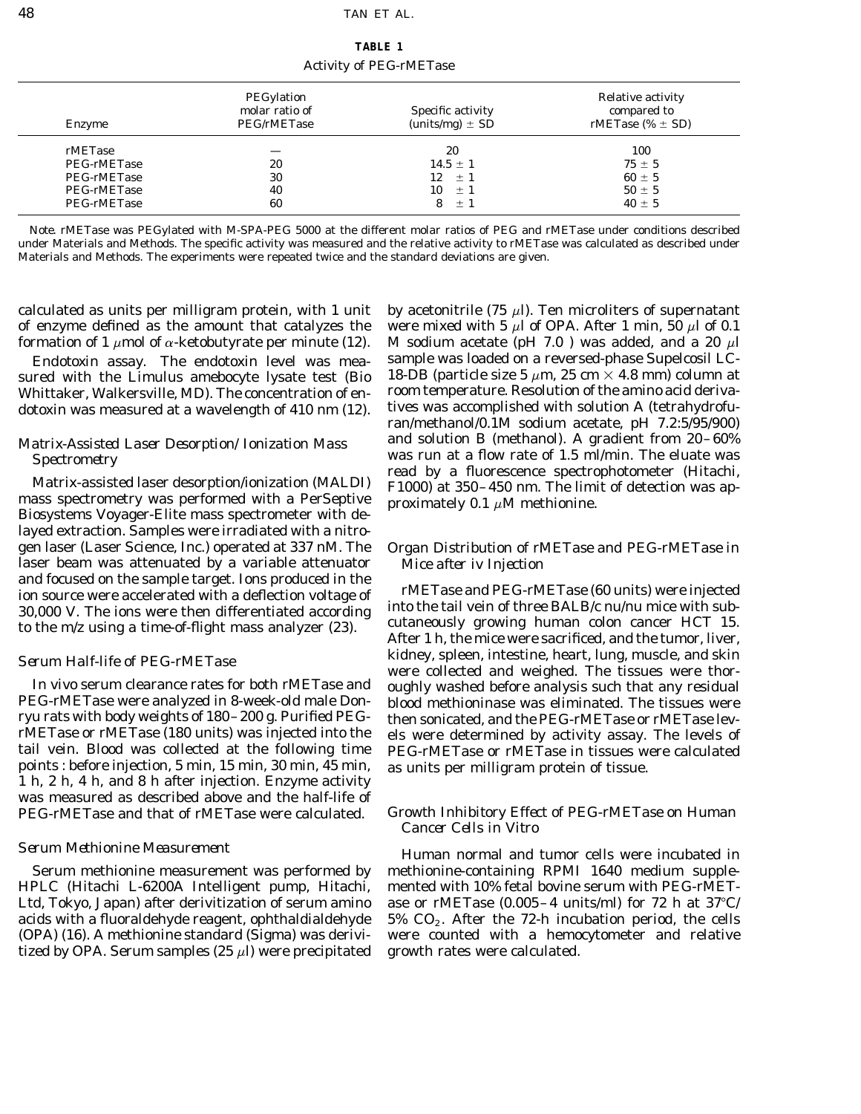**TABLE 1** Activity of PEG-rMETase

| Enzyme      | PEGylation<br>molar ratio of<br>PEG/rMETase | Specific activity<br>(units/mg) $\pm$ SD | Relative activity<br>compared to<br>rMETase (% $\pm$ SD) |
|-------------|---------------------------------------------|------------------------------------------|----------------------------------------------------------|
| rMETase     | __                                          | 20                                       | 100                                                      |
| PEG-rMETase | 20                                          | $14.5 \pm 1$                             | $75 \pm 5$                                               |
| PEG-rMETase | 30                                          | 12<br>$\pm 1$                            | $60 \pm 5$                                               |
| PEG-rMETase | 40                                          | $10 \pm 1$                               | $50 \pm 5$                                               |
| PEG-rMETase | 60                                          | $+1$                                     | $40 + 5$                                                 |

*Note.* rMETase was PEGylated with M-SPA-PEG 5000 at the different molar ratios of PEG and rMETase under conditions described under Materials and Methods. The specific activity was measured and the relative activity to rMETase was calculated as described under Materials and Methods. The experiments were repeated twice and the standard deviations are given.

calculated as units per milligram protein, with 1 unit by acetonitrile (75  $\mu$ ). Ten microliters of supernatant

dotoxin was measured at a wavelength of 410 nm (12).

Biosystems Voyager-Elite mass spectrometer with delayed extraction. Samples were irradiated with a nitrogen laser (Laser Science, Inc.) operated at 337 nM. The *Organ Distribution of rMETase and PEG-rMETase in* laser beam was attenuated by a variable attenuator *Mice after iv Injection* and focused on the sample target. Ions produced in the<br>ion source were accelerated with a deflection voltage of<br>30,000 V. The ions were then differentiated according<br>to the tail vein of three BALB/c  $nu/nu$  mice with sub-<br>t

points : before injection, 5 min, 15 min, 30 min, 45 min, as units per milligram protein of tissue. 1 h, 2 h, 4 h, and 8 h after injection. Enzyme activity was measured as described above and the half-life of PEG-rMETase and that of rMETase were calculated.

tized by OPA. Serum samples (25  $\mu$ ) were precipitated growth rates were calculated.

of enzyme defined as the amount that catalyzes the were mixed with 5  $\mu$ l of OPA. After 1 min, 50  $\mu$ l of 0.1 formation of 1  $\mu$ mol of  $\alpha$ -ketobutyrate per minute (12). M sodium acetate (pH 7.0) was added, and a 20  $\mu$ l *Endotoxin assay.* The endotoxin level was mea- sample was loaded on a reversed-phase Supelcosil LC-<br>red with the *Limulus* amebocyte lysate test (Bio 18-DB (particle size 5  $\mu$ m, 25 cm  $\times$  4.8 mm) column at sured with the *Limulus* amebocyte lysate test (Bio 18-DB (particle size 5  $\mu$ m, 25 cm  $\times$  4.8 mm) column at Whittaker Walkersville MD). The concentration of en-<br>Whittaker Walkersville MD). The concentration of en- room Whittaker, Walkersville, MD). The concentration of en-<br>dotoxin was measured at a wavelength of 410 nm (12) tives was accomplished with solution A (tetrahydrofuran/methanol/0.1M sodium acetate, pH 7.2:5/95/900) *Matrix-Assisted Laser Desorption/Ionization Mass* and solution B (methanol). A gradient from 20–60% *Spectrometry*<br>Matrix-assisted laser desorption/ionization (MALDI)<br>mass spectrophotometer (Hitachi, F1000) at 350–450 nm. The limit of detection was ap-<br>mass spectrometry was performed with a PerSeptive<br>proximately 0.1  $\$ 

kidney, spleen, intestine, heart, lung, muscle, and skin *Serum Half-life of PEG-rMETase* were collected and weighed. The tissues were thor-*In vivo* serum clearance rates for both rMETase and oughly washed before analysis such that any residual PEG-rMETase were analyzed in 8-week-old male Don- blood methioninase was eliminated. The tissues were ryu rats with body weights of 180–200 g. Purified PEG-<br>rMETase or rMETase (180 units) was injected into the els were determined by activity assay. The levels of rMETase or rMETase (180 units) was injected into the els were determined by activity assay. The levels of tail vein. Blood was collected at the following time PEG-rMETase or rMETase in tissues were calculated points : befo

## Growth Inhibitory Effect of PEG-rMETase on Human *Cancer Cells in Vitro*

*Serum Methionine Measurement* example Human normal and tumor cells were incubated in Serum methionine measurement was performed by methionine-containing RPMI 1640 medium supple-HPLC (Hitachi L-6200A Intelligent pump, Hitachi, mented with 10% fetal bovine serum with PEG-rMET-Ltd, Tokyo, Japan) after derivitization of serum amino ase or rMETase  $(0.005-4 \text{ units/ml})$  for 72 h at 37°C/ acids with a fluoraldehyde reagent, ophthaldialdehyde  $5\%$  CO<sub>2</sub>. After the 72-h incubation period, the cells (OPA) (16). A methionine standard (Sigma) was derivi- were counted with a hemocytometer and relative were counted with a hemocytometer and relative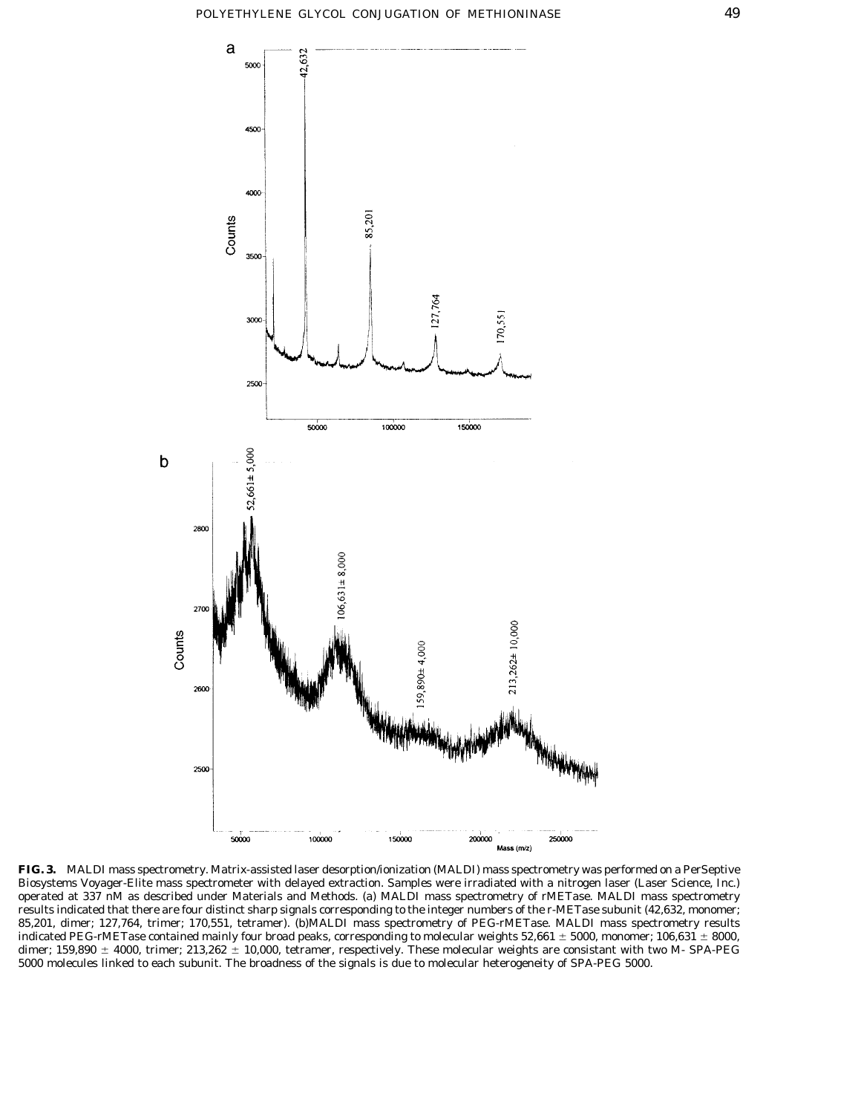

**FIG. 3.** MALDI mass spectrometry. Matrix-assisted laser desorption/ionization (MALDI) mass spectrometry was performed on a PerSeptive Biosystems Voyager-Elite mass spectrometer with delayed extraction. Samples were irradiated with a nitrogen laser (Laser Science, Inc.) operated at 337 nM as described under Materials and Methods. (a) MALDI mass spectrometry of rMETase. MALDI mass spectrometry results indicated that there are four distinct sharp signals corresponding to the integer numbers of the r-METase subunit (42,632, monomer; 85,201, dimer; 127,764, trimer; 170,551, tetramer). (b)MALDI mass spectrometry of PEG-rMETase. MALDI mass spectrometry results indicated PEG-rMETase contained mainly four broad peaks, corresponding to molecular weights 52,661  $\pm$  5000, monomer; 106,631  $\pm$  8000, dimer; 159,890  $\pm$  4000, trimer; 213,262  $\pm$  10,000, tetramer, respectively. These molecular weights are consistant with two M- SPA-PEG 5000 molecules linked to each subunit. The broadness of the signals is due to molecular heterogeneity of SPA-PEG 5000.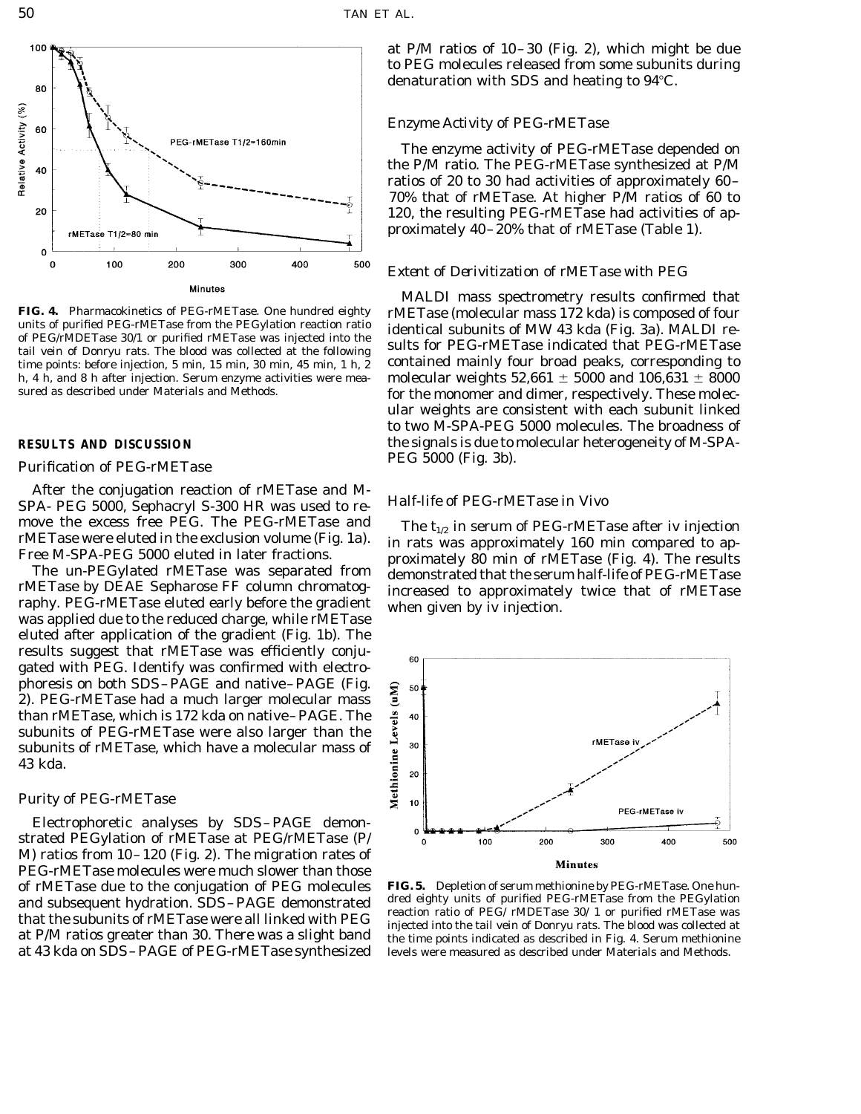

time points: before injection, 5 min, 15 min, 30 min, 45 min, 1 h, 2 contained mainly four broad peaks, corresponding to h, 4 h, and 8 h after injection. Serum enzyme activities were mea-<br>sured as described under Materials and Methods.<br>for the monomer and dimer respectively. These molec-

## **Purification of PEG-rMETase**

After the conjugation reaction of rMETase and M-<br>SPA- PEG 5000, Sephacryl S-300 HR was used to re-<br> $H\alpha H\beta H\beta$  *Half-life of PEG-rMETase in Vivo* 

rMETase by DEAE Sepharose FF column chromatog-<br>raphy. PEG-rMETase eluted early before the gradient<br>was applied due to the reduced charge, while rMETase<br>was applied due to the reduced charge, while rMETase eluted after application of the gradient (Fig. 1b). The results suggest that rMETase was efficiently conjugated with PEG. Identify was confirmed with electrophoresis on both SDS–PAGE and native–PAGE (Fig. 2). PEG-rMETase had a much larger molecular mass than rMETase, which is 172 kda on native–PAGE. The subunits of PEG-rMETase were also larger than the subunits of rMETase, which have a molecular mass of 43 kda.

## *Purity of PEG-rMETase*

Electrophoretic analyses by SDS–PAGE demonstrated PEGylation of rMETase at PEG/rMETase (P/ M) ratios from 10–120 (Fig. 2). The migration rates of PEG-rMETase molecules were much slower than those of rMETase due to the conjugation of PEG molecules **FIG. 5.** Depletion of serum methionine by PEG-rMETase. One hunat 43 kda on SDS–PAGE of PEG-rMETase synthesized levels were measured as described under Materials and Methods.

at P/M ratios of 10–30 (Fig. 2), which might be due to PEG molecules released from some subunits during denaturation with SDS and heating to  $94^{\circ}$ C.

## *Enzyme Activity of PEG-rMETase*

The enzyme activity of PEG-rMETase depended on the P/M ratio. The PEG-rMETase synthesized at P/M ratios of 20 to 30 had activities of approximately 60– 70% that of rMETase. At higher P/M ratios of 60 to 120, the resulting PEG-rMETase had activities of approximately 40–20% that of rMETase (Table 1).

## *Extent of Derivitization of rMETase with PEG*

MALDI mass spectrometry results confirmed that FIG. 4. Pharmacokinetics of PEG-rMETase. One hundred eighty<br>units of purified PEG-rMETase from the PEGylation reaction ratio<br>of PEG/rMDETase 30/1 or purified rMETase was injected into the<br>tail vein of Donryu rats. The bloo for the monomer and dimer, respectively. These molecular weights are consistent with each subunit linked to two M-SPA-PEG 5000 molecules. The broadness of **RESULTS AND DISCUSSION** the signals is due to molecular heterogeneity of M-SPA-<br>PEG 5000 (Fig. 3b).

move the excess free PEG. The PEG-rMETase and<br>
rMETase were eluted in the exclusion volume (Fig. 1a).<br>
Free M-SPA-PEG 5000 eluted in later fractions.<br>
The un-PEGylated rMETase was separated from demonstrated that the seru



and subsequent hydration. SDS-PAGE demonstrated<br>that the subunits of rMETase were all linked with PEG<br>action ratio of PEG/ rMDETase 30/ 1 or purified rMETase was<br>at P/M ratios greater than 30. There was a slight band<br>the t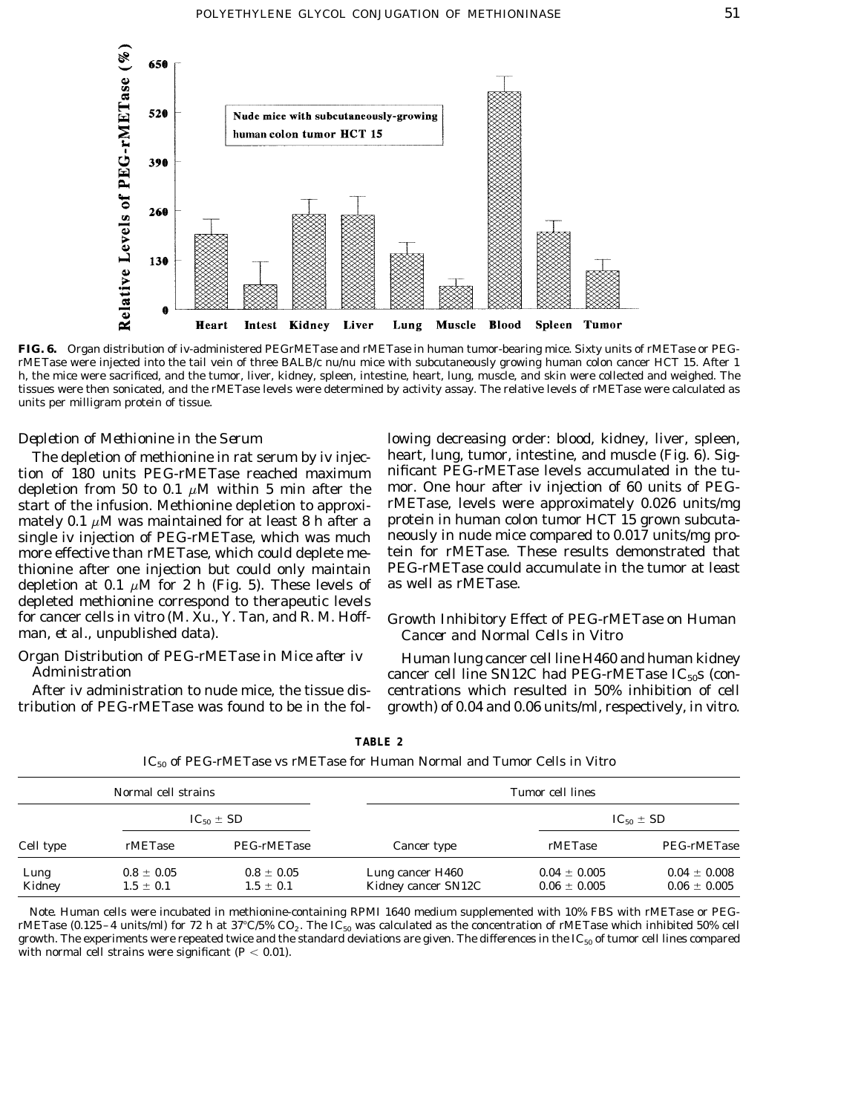

**FIG. 6.** Organ distribution of iv-administered PEGrMETase and rMETase in human tumor-bearing mice. Sixty units of rMETase or PEGrMETase were injected into the tail vein of three BALB/c *nu*/*nu* mice with subcutaneously growing human colon cancer HCT 15. After 1 h, the mice were sacrificed, and the tumor, liver, kidney, spleen, intestine, heart, lung, muscle, and skin were collected and weighed. The tissues were then sonicated, and the rMETase levels were determined by activity assay. The relative levels of rMETase were calculated as units per milligram protein of tissue.

tion of 180 units PEG-rMETase reached maximum depletion from 50 to 0.1  $\mu$ M within 5 min after the mor. One hour after iv injection of 60 units of PEGstart of the infusion. Methionine depletion to approxi-<br>mately 0.1  $\mu$ M was maintained for at least 8 h after a protein in human colon tumor HCT 15 grown subcutamately 0.1  $\mu$ M was maintained for at least 8 h after a protein in human colon tumor HCT 15 grown subcuta-<br>single iv injection of PEG-rMETase, which was much neously in nude mice compared to 0.017 units/mg prosingle iv injection of PEG-rMETase, which was much neously in nude mice compared to 0.017 units/mg pro-<br>more effective than rMETase, which could deplete me- tein for rMETase. These results demonstrated that more effective than rMETase, which could deplete me-<br>thionine after one injection but could only maintain PEG-rMETase could accumulate in the tumor at least thionine after one injection but could only maintain PEG-rMETase could depletion at 0.1  $\mu$ M for 2 h (Fig. 5). These levels of as well as rMETase. depletion at 0.1  $\mu$ M for 2 h (Fig. 5). These levels of depleted methionine correspond to therapeutic levels for cancer cells *in vitro* (M. Xu., Y. Tan, and R. M. Hoff- *Growth Inhibitory Effect of PEG-rMETase on Human*

*Depletion of Methionine in the Serum* lowing decreasing order: blood, kidney, liver, spleen, The depletion of methionine in rat serum by iv injec- heart, lung, tumor, intestine, and muscle (Fig. 6). Sig-<br>on of 180 units PEG-rMETase reached maximum nificant PEG-rMETase levels accumulated in the tu-

# **Cancer and Normal Cells in Vitro**

*Organ Distribution of PEG-rMETase in Mice after iv* Human lung cancer cell line H460 and human kidney<br>*Administration* cancer cell line SN12C had PEG-rMETase IC<sub>50</sub>s (con-After iv administration to nude mice, the tissue dis- centrations which resulted in 50% inhibition of cell tribution of PEG-rMETase was found to be in the fol- growth) of 0.04 and 0.06 units/ml, respectively, *in vitro.*

| Normal cell strains |                                 |                                 |                                         | Tumor cell lines                     |                                      |  |
|---------------------|---------------------------------|---------------------------------|-----------------------------------------|--------------------------------------|--------------------------------------|--|
| $IC_{50} \pm SD$    |                                 |                                 | $IC_{50} \pm SD$                        |                                      |                                      |  |
| Cell type           | rMETase                         | PEG-rMETase                     | Cancer type                             | rMETase                              | PEG-rMETase                          |  |
| Lung<br>Kidney      | $0.8 \pm 0.05$<br>$1.5 \pm 0.1$ | $0.8 \pm 0.05$<br>$1.5 \pm 0.1$ | Lung cancer H460<br>Kidney cancer SN12C | $0.04 \pm 0.005$<br>$0.06 \pm 0.005$ | $0.04 \pm 0.008$<br>$0.06 \pm 0.005$ |  |

**TABLE 2**

IC50 of PEG-rMETase vs rMETase for Human Normal and Tumor Cells *in Vitro*

*Note.* Human cells were incubated in methionine-containing RPMI 1640 medium supplemented with 10% FBS with rMETase or PEGrMETase (0.125–4 units/ml) for 72 h at 37°C/5% CO<sub>2</sub>. The IC<sub>50</sub> was calculated as the concentration of rMETase which inhibited 50% cell growth. The experiments were repeated twice and the standard deviations are given. The differences in the IC $_{50}$  of tumor cell lines compared with normal cell strains were significant  $(P < 0.01)$ .